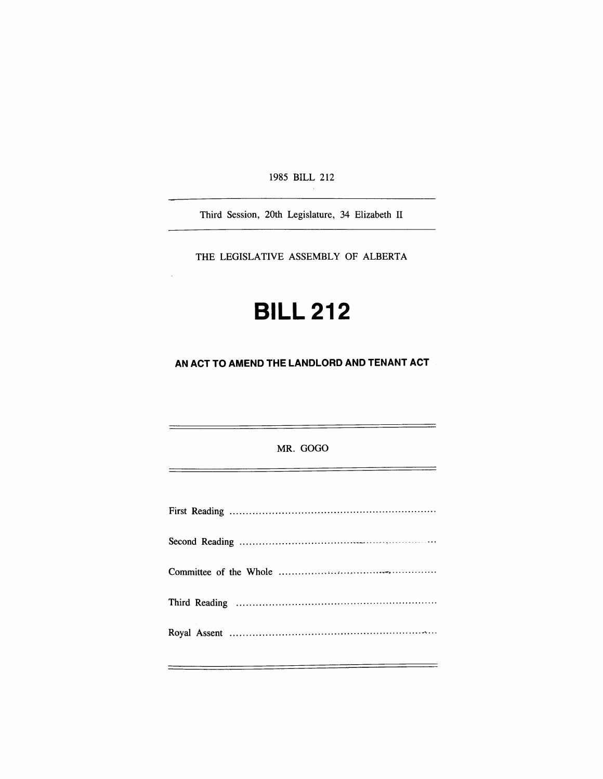1985 BILL 212

Third Session, 20th Legislature, 34 Elizabeth II

THE LEGISLATIVE ASSEMBLY OF ALBERTA

# **BILL 212**

**AN ACT TO AMEND THE LANDLORD AND TENANT ACT** 

**MR. GOGO** 

 $\frac{1}{2} \left( \frac{1}{2} \right) \left( \frac{1}{2} \right) \left( \frac{1}{2} \right) \left( \frac{1}{2} \right) \left( \frac{1}{2} \right) \left( \frac{1}{2} \right) \left( \frac{1}{2} \right) \left( \frac{1}{2} \right) \left( \frac{1}{2} \right) \left( \frac{1}{2} \right) \left( \frac{1}{2} \right) \left( \frac{1}{2} \right) \left( \frac{1}{2} \right) \left( \frac{1}{2} \right) \left( \frac{1}{2} \right) \left( \frac{1}{2} \right) \left( \frac$ 

 $\equiv$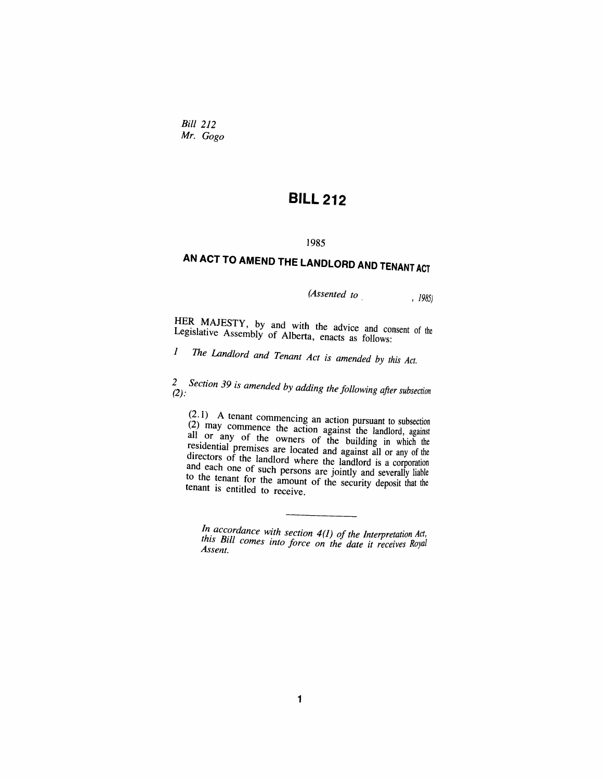*Bid 212 Mr. Gogo* 

### **BILL 212**

#### **1985**

## **AN ACT TO AMEND THE LANDLORD AND TENANT ACT**

*(Assented to* , 1985)

HER MAJESTY, by and with the advice and consent of the Legislative Assembly of Alberta, apacts as full Legislative Assembly of Alberta, enacts as follows:

*1 The Landlord and Tenam Act is amended by this Act.* 

*2^^ Section 39 is amended by adding the following after subsection* 

 $(2.1)$  A tenant commencing an action pursuant to subsection (2) may commence the action against the landlord, against all or any of the owners of the building in which the residential premises are located and against all or any of the directors of the landlord where the landlord is a corporation and each one of such persons are jointly and severally liable to the tenant for the amount of the security deposit that the tenant is entitled to receive.

*In accordance with section 4(1) of the Interpretation Act,* this Bill comes into force on the date it receives Royal *Assent*.